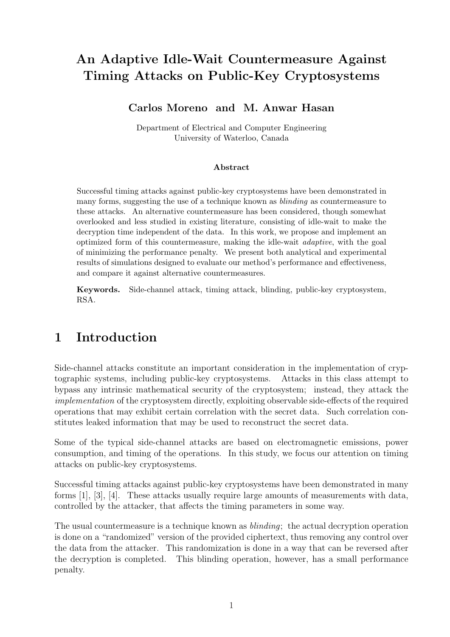# An Adaptive Idle-Wait Countermeasure Against Timing Attacks on Public-Key Cryptosystems

## Carlos Moreno and M. Anwar Hasan

Department of Electrical and Computer Engineering University of Waterloo, Canada

#### Abstract

Successful timing attacks against public-key cryptosystems have been demonstrated in many forms, suggesting the use of a technique known as blinding as countermeasure to these attacks. An alternative countermeasure has been considered, though somewhat overlooked and less studied in existing literature, consisting of idle-wait to make the decryption time independent of the data. In this work, we propose and implement an optimized form of this countermeasure, making the idle-wait adaptive, with the goal of minimizing the performance penalty. We present both analytical and experimental results of simulations designed to evaluate our method's performance and effectiveness, and compare it against alternative countermeasures.

Keywords. Side-channel attack, timing attack, blinding, public-key cryptosystem, RSA.

# 1 Introduction

Side-channel attacks constitute an important consideration in the implementation of cryptographic systems, including public-key cryptosystems. Attacks in this class attempt to bypass any intrinsic mathematical security of the cryptosystem; instead, they attack the implementation of the cryptosystem directly, exploiting observable side-effects of the required operations that may exhibit certain correlation with the secret data. Such correlation constitutes leaked information that may be used to reconstruct the secret data.

Some of the typical side-channel attacks are based on electromagnetic emissions, power consumption, and timing of the operations. In this study, we focus our attention on timing attacks on public-key cryptosystems.

Successful timing attacks against public-key cryptosystems have been demonstrated in many forms [1], [3], [4]. These attacks usually require large amounts of measurements with data, controlled by the attacker, that affects the timing parameters in some way.

The usual countermeasure is a technique known as blinding; the actual decryption operation is done on a "randomized" version of the provided ciphertext, thus removing any control over the data from the attacker. This randomization is done in a way that can be reversed after the decryption is completed. This blinding operation, however, has a small performance penalty.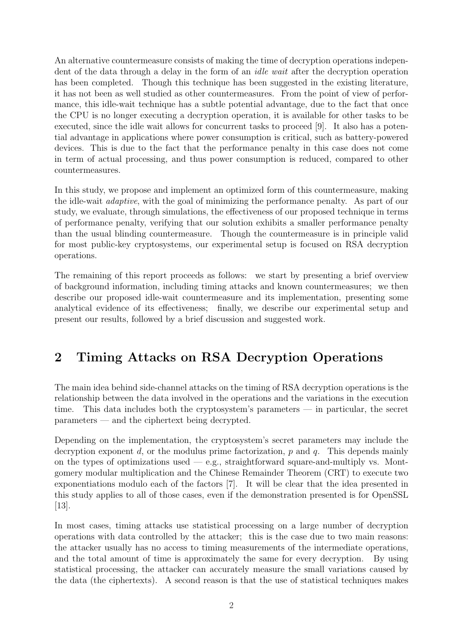An alternative countermeasure consists of making the time of decryption operations independent of the data through a delay in the form of an idle wait after the decryption operation has been completed. Though this technique has been suggested in the existing literature, it has not been as well studied as other countermeasures. From the point of view of performance, this idle-wait technique has a subtle potential advantage, due to the fact that once the CPU is no longer executing a decryption operation, it is available for other tasks to be executed, since the idle wait allows for concurrent tasks to proceed [9]. It also has a potential advantage in applications where power consumption is critical, such as battery-powered devices. This is due to the fact that the performance penalty in this case does not come in term of actual processing, and thus power consumption is reduced, compared to other countermeasures.

In this study, we propose and implement an optimized form of this countermeasure, making the idle-wait adaptive, with the goal of minimizing the performance penalty. As part of our study, we evaluate, through simulations, the effectiveness of our proposed technique in terms of performance penalty, verifying that our solution exhibits a smaller performance penalty than the usual blinding countermeasure. Though the countermeasure is in principle valid for most public-key cryptosystems, our experimental setup is focused on RSA decryption operations.

The remaining of this report proceeds as follows: we start by presenting a brief overview of background information, including timing attacks and known countermeasures; we then describe our proposed idle-wait countermeasure and its implementation, presenting some analytical evidence of its effectiveness; finally, we describe our experimental setup and present our results, followed by a brief discussion and suggested work.

# 2 Timing Attacks on RSA Decryption Operations

The main idea behind side-channel attacks on the timing of RSA decryption operations is the relationship between the data involved in the operations and the variations in the execution time. This data includes both the cryptosystem's parameters — in particular, the secret parameters — and the ciphertext being decrypted.

Depending on the implementation, the cryptosystem's secret parameters may include the decryption exponent d, or the modulus prime factorization, p and q. This depends mainly on the types of optimizations used  $-$  e.g., straightforward square-and-multiply vs. Montgomery modular multiplication and the Chinese Remainder Theorem (CRT) to execute two exponentiations modulo each of the factors [7]. It will be clear that the idea presented in this study applies to all of those cases, even if the demonstration presented is for OpenSSL [13].

In most cases, timing attacks use statistical processing on a large number of decryption operations with data controlled by the attacker; this is the case due to two main reasons: the attacker usually has no access to timing measurements of the intermediate operations, and the total amount of time is approximately the same for every decryption. By using statistical processing, the attacker can accurately measure the small variations caused by the data (the ciphertexts). A second reason is that the use of statistical techniques makes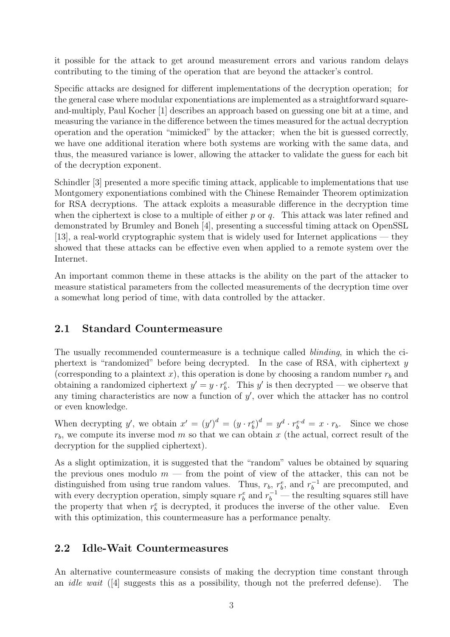it possible for the attack to get around measurement errors and various random delays contributing to the timing of the operation that are beyond the attacker's control.

Specific attacks are designed for different implementations of the decryption operation; for the general case where modular exponentiations are implemented as a straightforward squareand-multiply, Paul Kocher [1] describes an approach based on guessing one bit at a time, and measuring the variance in the difference between the times measured for the actual decryption operation and the operation "mimicked" by the attacker; when the bit is guessed correctly, we have one additional iteration where both systems are working with the same data, and thus, the measured variance is lower, allowing the attacker to validate the guess for each bit of the decryption exponent.

Schindler [3] presented a more specific timing attack, applicable to implementations that use Montgomery exponentiations combined with the Chinese Remainder Theorem optimization for RSA decryptions. The attack exploits a measurable difference in the decryption time when the ciphertext is close to a multiple of either  $p$  or  $q$ . This attack was later refined and demonstrated by Brumley and Boneh [4], presenting a successful timing attack on OpenSSL [13], a real-world cryptographic system that is widely used for Internet applications — they showed that these attacks can be effective even when applied to a remote system over the Internet.

An important common theme in these attacks is the ability on the part of the attacker to measure statistical parameters from the collected measurements of the decryption time over a somewhat long period of time, with data controlled by the attacker.

## 2.1 Standard Countermeasure

The usually recommended countermeasure is a technique called *blinding*, in which the ciphertext is "randomized" before being decrypted. In the case of RSA, with ciphertext y (corresponding to a plaintext x), this operation is done by choosing a random number  $r_b$  and obtaining a randomized ciphertext  $y' = y \cdot r_b^e$ . This y' is then decrypted — we observe that any timing characteristics are now a function of  $y'$ , over which the attacker has no control or even knowledge.

When decrypting y', we obtain  $x' = (y')^d = (y \cdot r_b^e)^d = y^d \cdot r_b^e = x \cdot r_b$ . Since we chose  $r<sub>b</sub>$ , we compute its inverse mod m so that we can obtain x (the actual, correct result of the decryption for the supplied ciphertext).

As a slight optimization, it is suggested that the "random" values be obtained by squaring the previous ones modulo  $m$  — from the point of view of the attacker, this can not be distinguished from using true random values. Thus,  $r_b$ ,  $r_b^e$ , and  $r_b^{-1}$  $b^{-1}$  are precomputed, and with every decryption operation, simply square  $r_b^e$  and  $r_b^{-1}$  — the resulting squares still have the property that when  $r_b^e$  is decrypted, it produces the inverse of the other value. Even with this optimization, this countermeasure has a performance penalty.

## 2.2 Idle-Wait Countermeasures

An alternative countermeasure consists of making the decryption time constant through an idle wait ([4] suggests this as a possibility, though not the preferred defense). The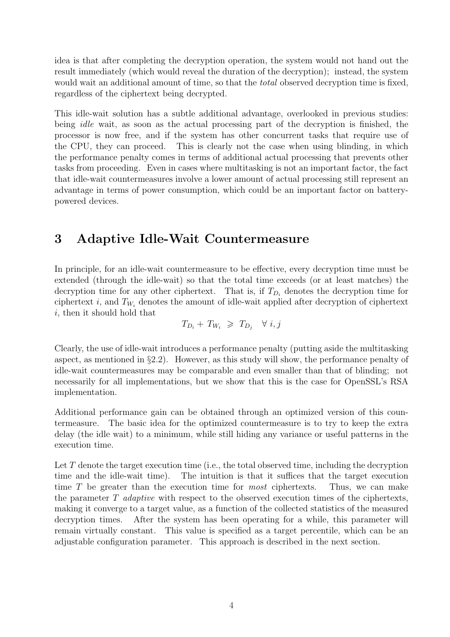idea is that after completing the decryption operation, the system would not hand out the result immediately (which would reveal the duration of the decryption); instead, the system would wait an additional amount of time, so that the *total* observed decryption time is fixed, regardless of the ciphertext being decrypted.

This idle-wait solution has a subtle additional advantage, overlooked in previous studies: being idle wait, as soon as the actual processing part of the decryption is finished, the processor is now free, and if the system has other concurrent tasks that require use of the CPU, they can proceed. This is clearly not the case when using blinding, in which the performance penalty comes in terms of additional actual processing that prevents other tasks from proceeding. Even in cases where multitasking is not an important factor, the fact that idle-wait countermeasures involve a lower amount of actual processing still represent an advantage in terms of power consumption, which could be an important factor on batterypowered devices.

## 3 Adaptive Idle-Wait Countermeasure

In principle, for an idle-wait countermeasure to be effective, every decryption time must be extended (through the idle-wait) so that the total time exceeds (or at least matches) the decryption time for any other ciphertext. That is, if  $T_{D_i}$  denotes the decryption time for ciphertext i, and  $T_{W_i}$  denotes the amount of idle-wait applied after decryption of ciphertext i, then it should hold that

$$
T_{D_i} + T_{W_i} \geq T_{D_j} \quad \forall \ i, j
$$

Clearly, the use of idle-wait introduces a performance penalty (putting aside the multitasking aspect, as mentioned in §2.2). However, as this study will show, the performance penalty of idle-wait countermeasures may be comparable and even smaller than that of blinding; not necessarily for all implementations, but we show that this is the case for OpenSSL's RSA implementation.

Additional performance gain can be obtained through an optimized version of this countermeasure. The basic idea for the optimized countermeasure is to try to keep the extra delay (the idle wait) to a minimum, while still hiding any variance or useful patterns in the execution time.

Let  $T$  denote the target execution time (i.e., the total observed time, including the decryption time and the idle-wait time). The intuition is that it suffices that the target execution time T be greater than the execution time for *most* ciphertexts. Thus, we can make the parameter  $T$  adaptive with respect to the observed execution times of the ciphertexts, making it converge to a target value, as a function of the collected statistics of the measured decryption times. After the system has been operating for a while, this parameter will remain virtually constant. This value is specified as a target percentile, which can be an adjustable configuration parameter. This approach is described in the next section.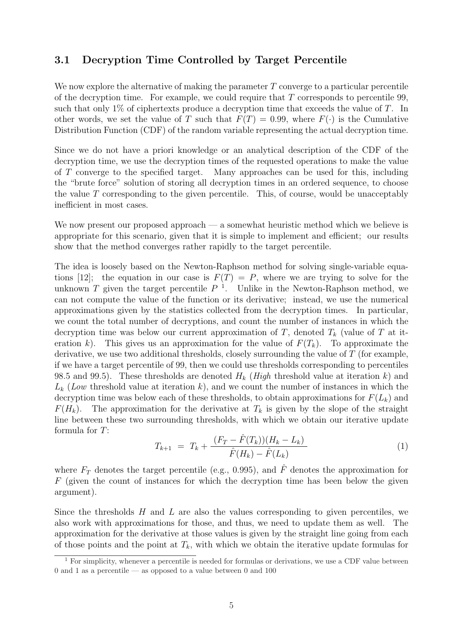## 3.1 Decryption Time Controlled by Target Percentile

We now explore the alternative of making the parameter  $T$  converge to a particular percentile of the decryption time. For example, we could require that  $T$  corresponds to percentile 99, such that only 1% of ciphertexts produce a decryption time that exceeds the value of  $T$ . In other words, we set the value of T such that  $F(T) = 0.99$ , where  $F(\cdot)$  is the Cumulative Distribution Function (CDF) of the random variable representing the actual decryption time.

Since we do not have a priori knowledge or an analytical description of the CDF of the decryption time, we use the decryption times of the requested operations to make the value of T converge to the specified target. Many approaches can be used for this, including the "brute force" solution of storing all decryption times in an ordered sequence, to choose the value  $T$  corresponding to the given percentile. This, of course, would be unacceptably inefficient in most cases.

We now present our proposed approach — a somewhat heuristic method which we believe is appropriate for this scenario, given that it is simple to implement and efficient; our results show that the method converges rather rapidly to the target percentile.

The idea is loosely based on the Newton-Raphson method for solving single-variable equations [12]; the equation in our case is  $F(T) = P$ , where we are trying to solve for the unknown T given the target percentile  $P^{-1}$ . Unlike in the Newton-Raphson method, we can not compute the value of the function or its derivative; instead, we use the numerical approximations given by the statistics collected from the decryption times. In particular, we count the total number of decryptions, and count the number of instances in which the decryption time was below our current approximation of T, denoted  $T_k$  (value of T at iteration k). This gives us an approximation for the value of  $F(T_k)$ . To approximate the derivative, we use two additional thresholds, closely surrounding the value of T (for example, if we have a target percentile of 99, then we could use thresholds corresponding to percentiles 98.5 and 99.5). These thresholds are denoted  $H_k$  (High threshold value at iteration k) and  $L_k$  (Low threshold value at iteration k), and we count the number of instances in which the decryption time was below each of these thresholds, to obtain approximations for  $F(L_k)$  and  $F(H_k)$ . The approximation for the derivative at  $T_k$  is given by the slope of the straight line between these two surrounding thresholds, with which we obtain our iterative update formula for T:

$$
T_{k+1} = T_k + \frac{(F_T - \hat{F}(T_k))(H_k - L_k)}{\hat{F}(H_k) - \hat{F}(L_k)}
$$
(1)

where  $F_T$  denotes the target percentile (e.g., 0.995), and  $\hat{F}$  denotes the approximation for F (given the count of instances for which the decryption time has been below the given argument).

Since the thresholds  $H$  and  $L$  are also the values corresponding to given percentiles, we also work with approximations for those, and thus, we need to update them as well. The approximation for the derivative at those values is given by the straight line going from each of those points and the point at  $T_k$ , with which we obtain the iterative update formulas for

 $\overline{1}$  For simplicity, whenever a percentile is needed for formulas or derivations, we use a CDF value between 0 and 1 as a percentile — as opposed to a value between 0 and 100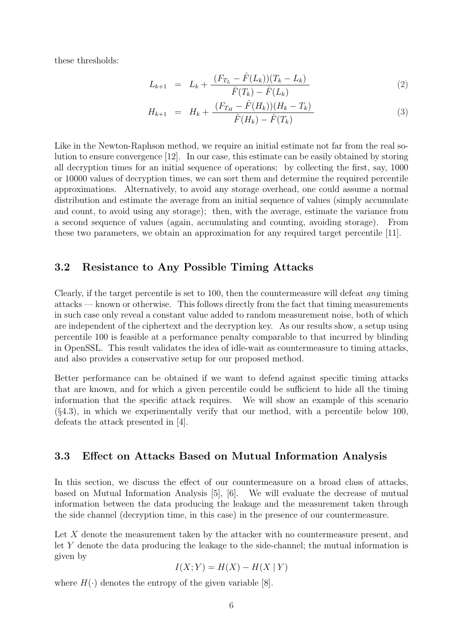these thresholds:

$$
L_{k+1} = L_k + \frac{(F_{T_L} - \hat{F}(L_k))(T_k - L_k)}{\hat{F}(T_k) - \hat{F}(L_k)}
$$
\n(2)

$$
H_{k+1} = H_k + \frac{(F_{T_H} - \hat{F}(H_k))(H_k - T_k)}{\hat{F}(H_k) - \hat{F}(T_k)}
$$
\n(3)

Like in the Newton-Raphson method, we require an initial estimate not far from the real solution to ensure convergence [12]. In our case, this estimate can be easily obtained by storing all decryption times for an initial sequence of operations; by collecting the first, say, 1000 or 10000 values of decryption times, we can sort them and determine the required percentile approximations. Alternatively, to avoid any storage overhead, one could assume a normal distribution and estimate the average from an initial sequence of values (simply accumulate and count, to avoid using any storage); then, with the average, estimate the variance from a second sequence of values (again, accumulating and counting, avoiding storage). From these two parameters, we obtain an approximation for any required target percentile [11].

#### 3.2 Resistance to Any Possible Timing Attacks

Clearly, if the target percentile is set to 100, then the countermeasure will defeat any timing attacks — known or otherwise. This follows directly from the fact that timing measurements in such case only reveal a constant value added to random measurement noise, both of which are independent of the ciphertext and the decryption key. As our results show, a setup using percentile 100 is feasible at a performance penalty comparable to that incurred by blinding in OpenSSL. This result validates the idea of idle-wait as countermeasure to timing attacks, and also provides a conservative setup for our proposed method.

Better performance can be obtained if we want to defend against specific timing attacks that are known, and for which a given percentile could be sufficient to hide all the timing information that the specific attack requires. We will show an example of this scenario  $(\S4.3)$ , in which we experimentally verify that our method, with a percentile below 100, defeats the attack presented in [4].

#### 3.3 Effect on Attacks Based on Mutual Information Analysis

In this section, we discuss the effect of our countermeasure on a broad class of attacks, based on Mutual Information Analysis [5], [6]. We will evaluate the decrease of mutual information between the data producing the leakage and the measurement taken through the side channel (decryption time, in this case) in the presence of our countermeasure.

Let X denote the measurement taken by the attacker with no countermeasure present, and let Y denote the data producing the leakage to the side-channel; the mutual information is given by

$$
I(X;Y) = H(X) - H(X | Y)
$$

where  $H(\cdot)$  denotes the entropy of the given variable [8].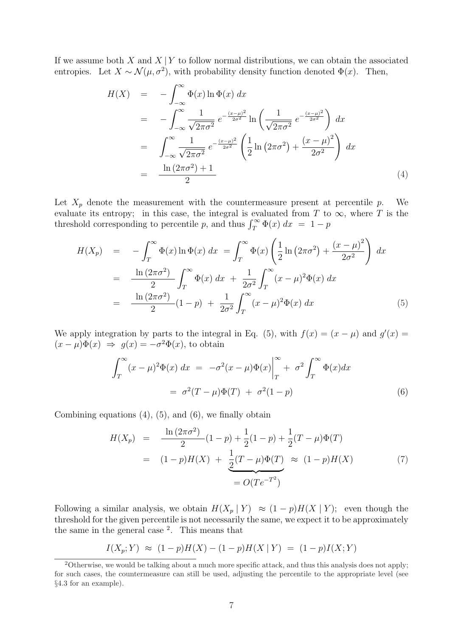If we assume both X and  $X | Y$  to follow normal distributions, we can obtain the associated entropies. Let  $X \sim \mathcal{N}(\mu, \sigma^2)$ , with probability density function denoted  $\Phi(x)$ . Then,

$$
H(X) = -\int_{-\infty}^{\infty} \Phi(x) \ln \Phi(x) dx
$$
  
\n
$$
= -\int_{-\infty}^{\infty} \frac{1}{\sqrt{2\pi\sigma^2}} e^{-\frac{(x-\mu)^2}{2\sigma^2}} \ln \left( \frac{1}{\sqrt{2\pi\sigma^2}} e^{-\frac{(x-\mu)^2}{2\sigma^2}} \right) dx
$$
  
\n
$$
= \int_{-\infty}^{\infty} \frac{1}{\sqrt{2\pi\sigma^2}} e^{-\frac{(x-\mu)^2}{2\sigma^2}} \left( \frac{1}{2} \ln (2\pi\sigma^2) + \frac{(x-\mu)^2}{2\sigma^2} \right) dx
$$
  
\n
$$
= \frac{\ln (2\pi\sigma^2) + 1}{2}
$$
 (4)

Let  $X_p$  denote the measurement with the countermeasure present at percentile p. We evaluate its entropy; in this case, the integral is evaluated from T to  $\infty$ , where T is the evaluate its entropy; in this case, the integral is evaluated from 1 to threshold corresponding to percentile p, and thus  $\int_T^{\infty} \Phi(x) dx = 1 - p$ 

$$
H(X_p) = -\int_T^{\infty} \Phi(x) \ln \Phi(x) dx = \int_T^{\infty} \Phi(x) \left( \frac{1}{2} \ln (2\pi\sigma^2) + \frac{(x - \mu)^2}{2\sigma^2} \right) dx
$$
  

$$
= \frac{\ln (2\pi\sigma^2)}{2} \int_T^{\infty} \Phi(x) dx + \frac{1}{2\sigma^2} \int_T^{\infty} (x - \mu)^2 \Phi(x) dx
$$
  

$$
= \frac{\ln (2\pi\sigma^2)}{2} (1 - p) + \frac{1}{2\sigma^2} \int_T^{\infty} (x - \mu)^2 \Phi(x) dx
$$
(5)

We apply integration by parts to the integral in Eq. (5), with  $f(x) = (x - \mu)$  and  $g'(x) =$  $(x - \mu)\Phi(x) \Rightarrow g(x) = -\sigma^2\Phi(x)$ , to obtain

$$
\int_{T}^{\infty} (x - \mu)^{2} \Phi(x) dx = -\sigma^{2} (x - \mu) \Phi(x) \Big|_{T}^{\infty} + \sigma^{2} \int_{T}^{\infty} \Phi(x) dx
$$

$$
= \sigma^{2} (T - \mu) \Phi(T) + \sigma^{2} (1 - p)
$$
(6)

Combining equations  $(4)$ ,  $(5)$ , and  $(6)$ , we finally obtain

$$
H(X_p) = \frac{\ln(2\pi\sigma^2)}{2}(1-p) + \frac{1}{2}(1-p) + \frac{1}{2}(T-\mu)\Phi(T)
$$
  
=  $(1-p)H(X) + \frac{1}{2}(T-\mu)\Phi(T) \approx (1-p)H(X)$  (7)  
=  $O(Te^{-T^2})$ 

Following a similar analysis, we obtain  $H(X_p | Y) \approx (1-p)H(X | Y)$ ; even though the threshold for the given percentile is not necessarily the same, we expect it to be approximately the same in the general case <sup>2</sup> . This means that

$$
I(X_p;Y) \approx (1-p)H(X) - (1-p)H(X | Y) = (1-p)I(X;Y)
$$

<sup>&</sup>lt;sup>2</sup>Otherwise, we would be talking about a much more specific attack, and thus this analysis does not apply; for such cases, the countermeasure can still be used, adjusting the percentile to the appropriate level (see §4.3 for an example).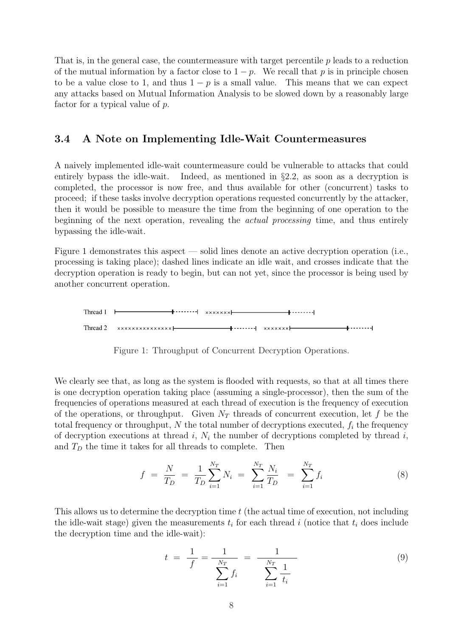That is, in the general case, the countermeasure with target percentile p leads to a reduction of the mutual information by a factor close to  $1 - p$ . We recall that p is in principle chosen to be a value close to 1, and thus  $1 - p$  is a small value. This means that we can expect any attacks based on Mutual Information Analysis to be slowed down by a reasonably large factor for a typical value of p.

### 3.4 A Note on Implementing Idle-Wait Countermeasures

A naively implemented idle-wait countermeasure could be vulnerable to attacks that could entirely bypass the idle-wait. Indeed, as mentioned in §2.2, as soon as a decryption is completed, the processor is now free, and thus available for other (concurrent) tasks to proceed; if these tasks involve decryption operations requested concurrently by the attacker, then it would be possible to measure the time from the beginning of one operation to the beginning of the next operation, revealing the actual processing time, and thus entirely bypassing the idle-wait.

Figure 1 demonstrates this aspect — solid lines denote an active decryption operation (i.e., processing is taking place); dashed lines indicate an idle wait, and crosses indicate that the decryption operation is ready to begin, but can not yet, since the processor is being used by another concurrent operation.



We clearly see that, as long as the system is flooded with requests, so that at all times there is one decryption operation taking place (assuming a single-processor), then the sum of the frequencies of operations measured at each thread of execution is the frequency of execution of the operations, or throughput. Given  $N_T$  threads of concurrent execution, let f be the total frequency or throughput,  $N$  the total number of decryptions executed,  $f_i$  the frequency of decryption executions at thread  $i$ ,  $N_i$  the number of decryptions completed by thread  $i$ , and  $T_D$  the time it takes for all threads to complete. Then

$$
f = \frac{N}{T_D} = \frac{1}{T_D} \sum_{i=1}^{N_T} N_i = \sum_{i=1}^{N_T} \frac{N_i}{T_D} = \sum_{i=1}^{N_T} f_i \tag{8}
$$

This allows us to determine the decryption time  $t$  (the actual time of execution, not including the idle-wait stage) given the measurements  $t_i$  for each thread i (notice that  $t_i$  does include the decryption time and the idle-wait):

$$
t = \frac{1}{f} = \frac{1}{\sum_{i=1}^{N_T} f_i} = \frac{1}{\sum_{i=1}^{N_T} \frac{1}{t_i}}
$$
(9)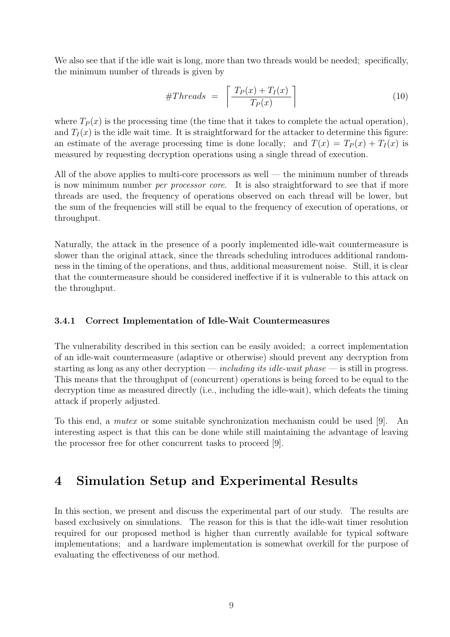We also see that if the idle wait is long, more than two threads would be needed; specifically, the minimum number of threads is given by

$$
\#Threads = \left\lceil \frac{T_P(x) + T_I(x)}{T_P(x)} \right\rceil \tag{10}
$$

where  $T_P(x)$  is the processing time (the time that it takes to complete the actual operation), and  $T<sub>I</sub>(x)$  is the idle wait time. It is straightforward for the attacker to determine this figure: an estimate of the average processing time is done locally; and  $T(x) = T<sub>P</sub>(x) + T<sub>I</sub>(x)$  is measured by requesting decryption operations using a single thread of execution.

All of the above applies to multi-core processors as well — the minimum number of threads is now minimum number *per processor core*. It is also straightforward to see that if more threads are used, the frequency of operations observed on each thread will be lower, but the sum of the frequencies will still be equal to the frequency of execution of operations, or throughput.

Naturally, the attack in the presence of a poorly implemented idle-wait countermeasure is slower than the original attack, since the threads scheduling introduces additional randomness in the timing of the operations, and thus, additional measurement noise. Still, it is clear that the countermeasure should be considered ineffective if it is vulnerable to this attack on the throughput.

#### 3.4.1 Correct Implementation of Idle-Wait Countermeasures

The vulnerability described in this section can be easily avoided; a correct implementation of an idle-wait countermeasure (adaptive or otherwise) should prevent any decryption from starting as long as any other decryption — *including its idle-wait phase* — is still in progress. This means that the throughput of (concurrent) operations is being forced to be equal to the decryption time as measured directly (i.e., including the idle-wait), which defeats the timing attack if properly adjusted.

To this end, a mutex or some suitable synchronization mechanism could be used [9]. An interesting aspect is that this can be done while still maintaining the advantage of leaving the processor free for other concurrent tasks to proceed [9].

## 4 Simulation Setup and Experimental Results

In this section, we present and discuss the experimental part of our study. The results are based exclusively on simulations. The reason for this is that the idle-wait timer resolution required for our proposed method is higher than currently available for typical software implementations; and a hardware implementation is somewhat overkill for the purpose of evaluating the effectiveness of our method.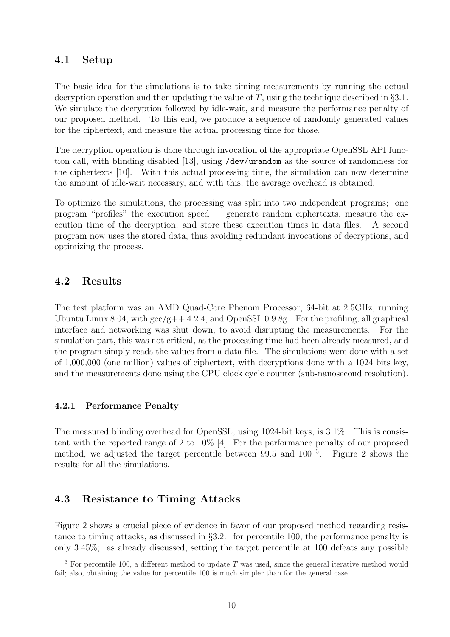## 4.1 Setup

The basic idea for the simulations is to take timing measurements by running the actual decryption operation and then updating the value of T, using the technique described in  $\S 3.1$ . We simulate the decryption followed by idle-wait, and measure the performance penalty of our proposed method. To this end, we produce a sequence of randomly generated values for the ciphertext, and measure the actual processing time for those.

The decryption operation is done through invocation of the appropriate OpenSSL API function call, with blinding disabled [13], using /dev/urandom as the source of randomness for the ciphertexts [10]. With this actual processing time, the simulation can now determine the amount of idle-wait necessary, and with this, the average overhead is obtained.

To optimize the simulations, the processing was split into two independent programs; one program "profiles" the execution speed — generate random ciphertexts, measure the execution time of the decryption, and store these execution times in data files. A second program now uses the stored data, thus avoiding redundant invocations of decryptions, and optimizing the process.

## 4.2 Results

The test platform was an AMD Quad-Core Phenom Processor, 64-bit at 2.5GHz, running Ubuntu Linux 8.04, with  $\rm{gcc/g++ 4.2.4}$ , and OpenSSL 0.9.8g. For the profiling, all graphical interface and networking was shut down, to avoid disrupting the measurements. For the simulation part, this was not critical, as the processing time had been already measured, and the program simply reads the values from a data file. The simulations were done with a set of 1,000,000 (one million) values of ciphertext, with decryptions done with a 1024 bits key, and the measurements done using the CPU clock cycle counter (sub-nanosecond resolution).

#### 4.2.1 Performance Penalty

The measured blinding overhead for OpenSSL, using 1024-bit keys, is 3.1%. This is consistent with the reported range of 2 to 10% [4]. For the performance penalty of our proposed method, we adjusted the target percentile between 99.5 and 100<sup>3</sup>. Figure 2 shows the results for all the simulations.

## 4.3 Resistance to Timing Attacks

Figure 2 shows a crucial piece of evidence in favor of our proposed method regarding resistance to timing attacks, as discussed in §3.2: for percentile 100, the performance penalty is only 3.45%; as already discussed, setting the target percentile at 100 defeats any possible

<sup>&</sup>lt;sup>3</sup> For percentile 100, a different method to update T was used, since the general iterative method would fail; also, obtaining the value for percentile 100 is much simpler than for the general case.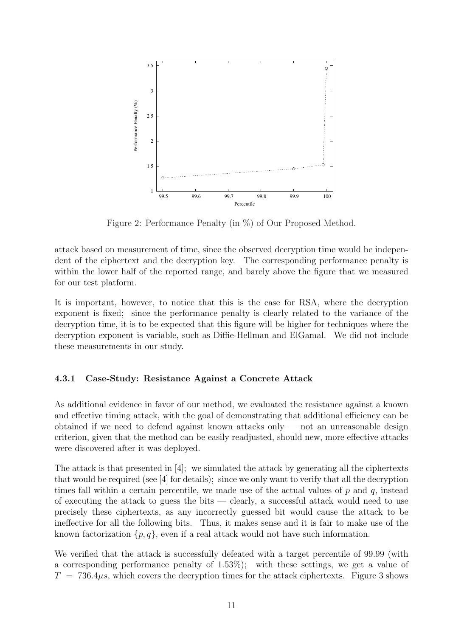

Figure 2: Performance Penalty (in %) of Our Proposed Method.

attack based on measurement of time, since the observed decryption time would be independent of the ciphertext and the decryption key. The corresponding performance penalty is within the lower half of the reported range, and barely above the figure that we measured for our test platform.

It is important, however, to notice that this is the case for RSA, where the decryption exponent is fixed; since the performance penalty is clearly related to the variance of the decryption time, it is to be expected that this figure will be higher for techniques where the decryption exponent is variable, such as Diffie-Hellman and ElGamal. We did not include these measurements in our study.

#### 4.3.1 Case-Study: Resistance Against a Concrete Attack

As additional evidence in favor of our method, we evaluated the resistance against a known and effective timing attack, with the goal of demonstrating that additional efficiency can be obtained if we need to defend against known attacks only  $-$  not an unreasonable design criterion, given that the method can be easily readjusted, should new, more effective attacks were discovered after it was deployed.

The attack is that presented in [4]; we simulated the attack by generating all the ciphertexts that would be required (see [4] for details); since we only want to verify that all the decryption times fall within a certain percentile, we made use of the actual values of  $p$  and  $q$ , instead of executing the attack to guess the bits — clearly, a successful attack would need to use precisely these ciphertexts, as any incorrectly guessed bit would cause the attack to be ineffective for all the following bits. Thus, it makes sense and it is fair to make use of the known factorization  $\{p, q\}$ , even if a real attack would not have such information.

We verified that the attack is successfully defeated with a target percentile of 99.99 (with a corresponding performance penalty of 1.53%); with these settings, we get a value of  $T = 736.4 \mu s$ , which covers the decryption times for the attack ciphertexts. Figure 3 shows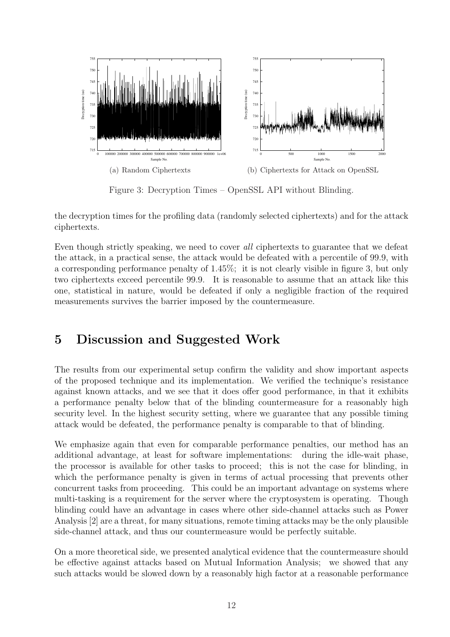

Figure 3: Decryption Times – OpenSSL API without Blinding.

the decryption times for the profiling data (randomly selected ciphertexts) and for the attack ciphertexts.

Even though strictly speaking, we need to cover all ciphertexts to guarantee that we defeat the attack, in a practical sense, the attack would be defeated with a percentile of 99.9, with a corresponding performance penalty of 1.45%; it is not clearly visible in figure 3, but only two ciphertexts exceed percentile 99.9. It is reasonable to assume that an attack like this one, statistical in nature, would be defeated if only a negligible fraction of the required measurements survives the barrier imposed by the countermeasure.

# 5 Discussion and Suggested Work

The results from our experimental setup confirm the validity and show important aspects of the proposed technique and its implementation. We verified the technique's resistance against known attacks, and we see that it does offer good performance, in that it exhibits a performance penalty below that of the blinding countermeasure for a reasonably high security level. In the highest security setting, where we guarantee that any possible timing attack would be defeated, the performance penalty is comparable to that of blinding.

We emphasize again that even for comparable performance penalties, our method has an additional advantage, at least for software implementations: during the idle-wait phase, the processor is available for other tasks to proceed; this is not the case for blinding, in which the performance penalty is given in terms of actual processing that prevents other concurrent tasks from proceeding. This could be an important advantage on systems where multi-tasking is a requirement for the server where the cryptosystem is operating. Though blinding could have an advantage in cases where other side-channel attacks such as Power Analysis [2] are a threat, for many situations, remote timing attacks may be the only plausible side-channel attack, and thus our countermeasure would be perfectly suitable.

On a more theoretical side, we presented analytical evidence that the countermeasure should be effective against attacks based on Mutual Information Analysis; we showed that any such attacks would be slowed down by a reasonably high factor at a reasonable performance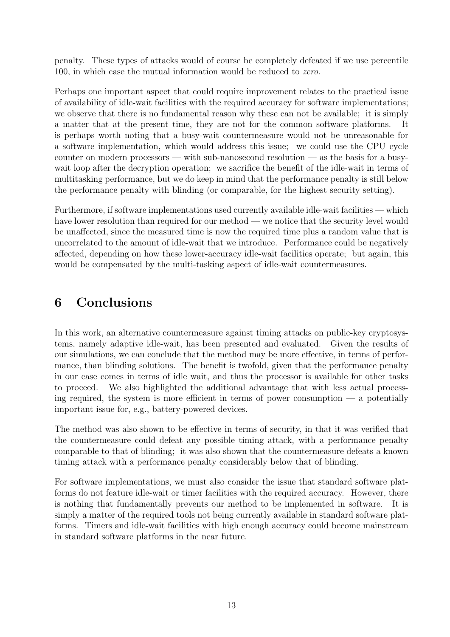penalty. These types of attacks would of course be completely defeated if we use percentile 100, in which case the mutual information would be reduced to zero.

Perhaps one important aspect that could require improvement relates to the practical issue of availability of idle-wait facilities with the required accuracy for software implementations; we observe that there is no fundamental reason why these can not be available; it is simply a matter that at the present time, they are not for the common software platforms. It is perhaps worth noting that a busy-wait countermeasure would not be unreasonable for a software implementation, which would address this issue; we could use the CPU cycle counter on modern processors — with sub-nanosecond resolution — as the basis for a busywait loop after the decryption operation; we sacrifice the benefit of the idle-wait in terms of multitasking performance, but we do keep in mind that the performance penalty is still below the performance penalty with blinding (or comparable, for the highest security setting).

Furthermore, if software implementations used currently available idle-wait facilities — which have lower resolution than required for our method — we notice that the security level would be unaffected, since the measured time is now the required time plus a random value that is uncorrelated to the amount of idle-wait that we introduce. Performance could be negatively affected, depending on how these lower-accuracy idle-wait facilities operate; but again, this would be compensated by the multi-tasking aspect of idle-wait countermeasures.

## 6 Conclusions

In this work, an alternative countermeasure against timing attacks on public-key cryptosystems, namely adaptive idle-wait, has been presented and evaluated. Given the results of our simulations, we can conclude that the method may be more effective, in terms of performance, than blinding solutions. The benefit is twofold, given that the performance penalty in our case comes in terms of idle wait, and thus the processor is available for other tasks to proceed. We also highlighted the additional advantage that with less actual processing required, the system is more efficient in terms of power consumption  $-$  a potentially important issue for, e.g., battery-powered devices.

The method was also shown to be effective in terms of security, in that it was verified that the countermeasure could defeat any possible timing attack, with a performance penalty comparable to that of blinding; it was also shown that the countermeasure defeats a known timing attack with a performance penalty considerably below that of blinding.

For software implementations, we must also consider the issue that standard software platforms do not feature idle-wait or timer facilities with the required accuracy. However, there is nothing that fundamentally prevents our method to be implemented in software. It is simply a matter of the required tools not being currently available in standard software platforms. Timers and idle-wait facilities with high enough accuracy could become mainstream in standard software platforms in the near future.